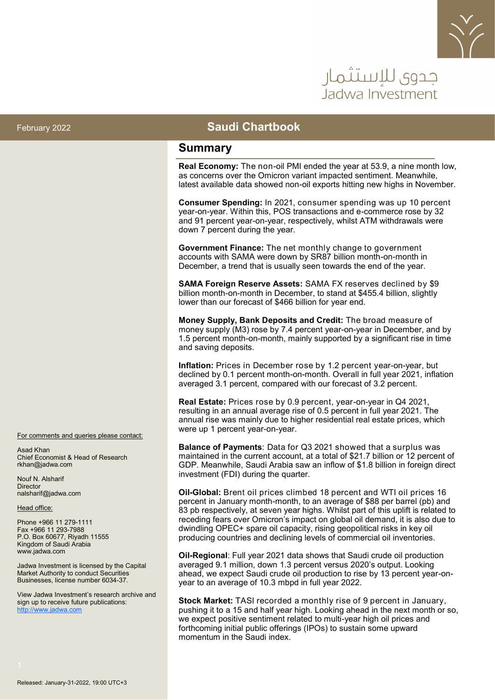

# حدوي للاستثمار Jadwa Investmer

#### February 2022 **Saudi Chartbook**

#### **Summary**

**Real Economy:** The non-oil PMI ended the year at 53.9, a nine month low, as concerns over the Omicron variant impacted sentiment. Meanwhile, latest available data showed non-oil exports hitting new highs in November.

**Consumer Spending:** In 2021, consumer spending was up 10 percent year-on-year. Within this, POS transactions and e-commerce rose by 32 and 91 percent year-on-year, respectively, whilst ATM withdrawals were down 7 percent during the year.

**Government Finance:** The net monthly change to government accounts with SAMA were down by SR87 billion month-on-month in December, a trend that is usually seen towards the end of the year.

**SAMA Foreign Reserve Assets:** SAMA FX reserves declined by \$9 billion month-on-month in December, to stand at \$455.4 billion, slightly lower than our forecast of \$466 billion for year end.

**Money Supply, Bank Deposits and Credit:** The broad measure of money supply (M3) rose by 7.4 percent year-on-year in December, and by 1.5 percent month-on-month, mainly supported by a significant rise in time and saving deposits.

**Inflation:** Prices in December rose by 1.2 percent year-on-year, but declined by 0.1 percent month-on-month. Overall in full year 2021, inflation averaged 3.1 percent, compared with our forecast of 3.2 percent.

**Real Estate:** Prices rose by 0.9 percent, year-on-year in Q4 2021, resulting in an annual average rise of 0.5 percent in full year 2021. The annual rise was mainly due to higher residential real estate prices, which were up 1 percent year-on-year.

**Balance of Payments**: Data for Q3 2021 showed that a surplus was maintained in the current account, at a total of \$21.7 billion or 12 percent of GDP. Meanwhile, Saudi Arabia saw an inflow of \$1.8 billion in foreign direct investment (FDI) during the quarter.

**Oil-Global:** Brent oil prices climbed 18 percent and WTI oil prices 16 percent in January month-month, to an average of \$88 per barrel (pb) and 83 pb respectively, at seven year highs. Whilst part of this uplift is related to receding fears over Omicron's impact on global oil demand, it is also due to dwindling OPEC+ spare oil capacity, rising geopolitical risks in key oil producing countries and declining levels of commercial oil inventories.

**Oil-Regional**: Full year 2021 data shows that Saudi crude oil production averaged 9.1 million, down 1.3 percent versus 2020's output. Looking ahead, we expect Saudi crude oil production to rise by 13 percent year-onyear to an average of 10.3 mbpd in full year 2022.

**Stock Market:** TASI recorded a monthly rise of 9 percent in January, pushing it to a 15 and half year high. Looking ahead in the next month or so, we expect positive sentiment related to multi-year high oil prices and forthcoming initial public offerings (IPOs) to sustain some upward momentum in the Saudi index.

For comments and queries please contact:

Asad Khan Chief Economist & Head of Research rkhan@jadwa.com

Nouf N. Alsharif **Director** nalsharif@jadwa.com

Head office:

Phone +966 11 279-1111 Fax +966 11 293-7988 P.O. Box 60677, Riyadh 11555 Kingdom of Saudi Arabia www.jadwa.com

Jadwa Investment is licensed by the Capital Market Authority to conduct Securities Businesses, license number 6034-37.

View Jadwa Investment's research archive and sign up to receive future publications: <http://www.jadwa.com>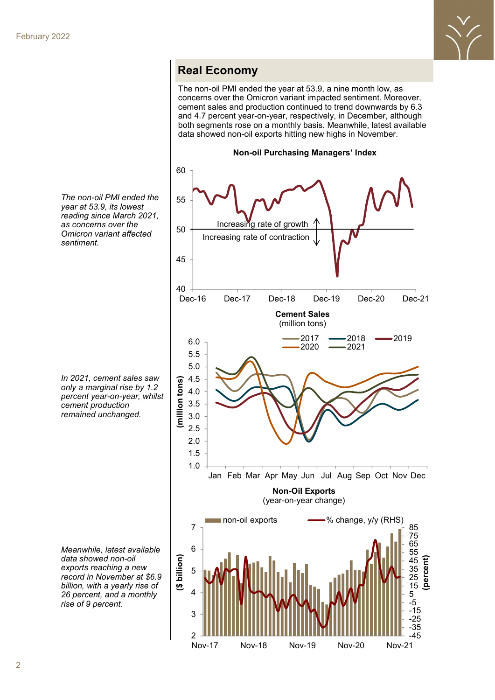

#### **Real Economy**

The non-oil PMI ended the year at 53.9, a nine month low, as concerns over the Omicron variant impacted sentiment. Moreover, cement sales and production continued to trend downwards by 6.3 and 4.7 percent year-on-year, respectively, in December, although both segments rose on a monthly basis. Meanwhile, latest available data showed non-oil exports hitting new highs in November.



*The non-oil PMI ended the year at 53.9, its lowest reading since March 2021, as concerns over the Omicron variant affected sentiment.* 

*In 2021, cement sales saw only a marginal rise by 1.2 percent year-on-year, whilst cement production remained unchanged.* 

*Meanwhile, latest available data showed non-oil exports reaching a new record in November at \$6.9 billion, with a yearly rise of 26 percent, and a monthly rise of 9 percent.*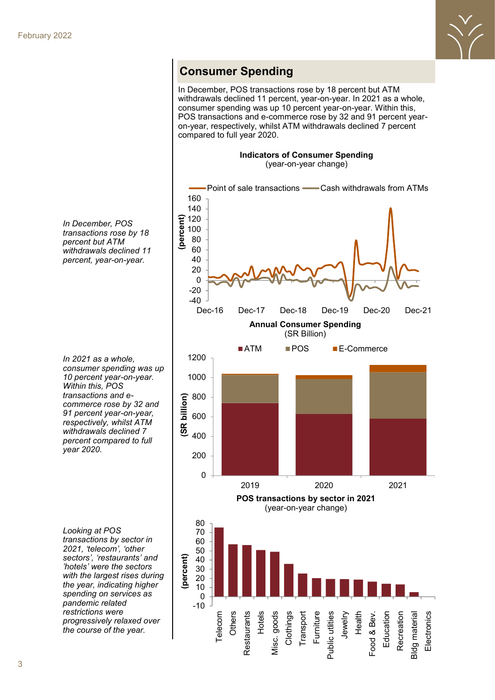

## **Consumer Spending**

In December, POS transactions rose by 18 percent but ATM withdrawals declined 11 percent, year-on-year. In 2021 as a whole, consumer spending was up 10 percent year-on-year. Within this, POS transactions and e-commerce rose by 32 and 91 percent yearon-year, respectively, whilst ATM withdrawals declined 7 percent compared to full year 2020.

#### **Indicators of Consumer Spending** (year-on-year change)



*In December, POS transactions rose by 18 percent but ATM withdrawals declined 11 percent, year-on-year.*

*In 2021 as a whole, consumer spending was up 10 percent year-on-year. Within this, POS transactions and ecommerce rose by 32 and 91 percent year-on-year, respectively, whilst ATM withdrawals declined 7 percent compared to full year 2020.* 

*Looking at POS transactions by sector in 2021, 'telecom', 'other sectors', 'restaurants' and 'hotels' were the sectors with the largest rises during the year, indicating higher spending on services as pandemic related restrictions were progressively relaxed over the course of the year.*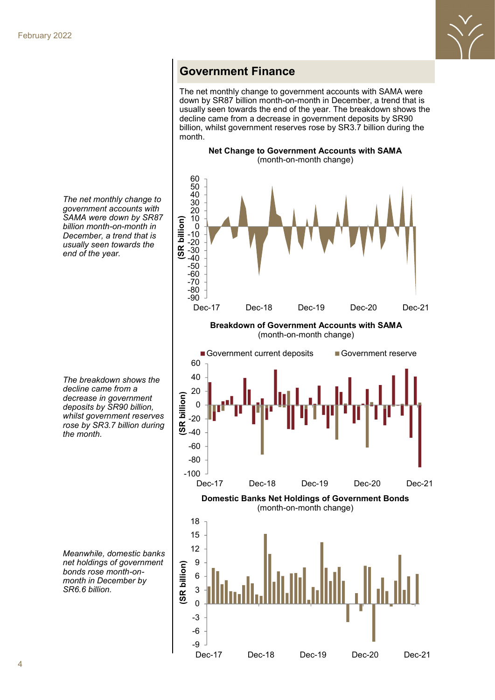

#### **Government Finance**

The net monthly change to government accounts with SAMA were down by SR87 billion month-on-month in December, a trend that is usually seen towards the end of the year. The breakdown shows the decline came from a decrease in government deposits by SR90 billion, whilst government reserves rose by SR3.7 billion during the month.

**Net Change to Government Accounts with SAMA**



Dec-17 Dec-18 Dec-19 Dec-20 Dec-21

*The net monthly change to government accounts with SAMA were down by SR87 billion month-on-month in December, a trend that is usually seen towards the end of the year.* 

*The breakdown shows the decline came from a decrease in government deposits by SR90 billion, whilst government reserves rose by SR3.7 billion during the month.* 

*Meanwhile, domestic banks net holdings of government bonds rose month-onmonth in December by SR6.6 billion.*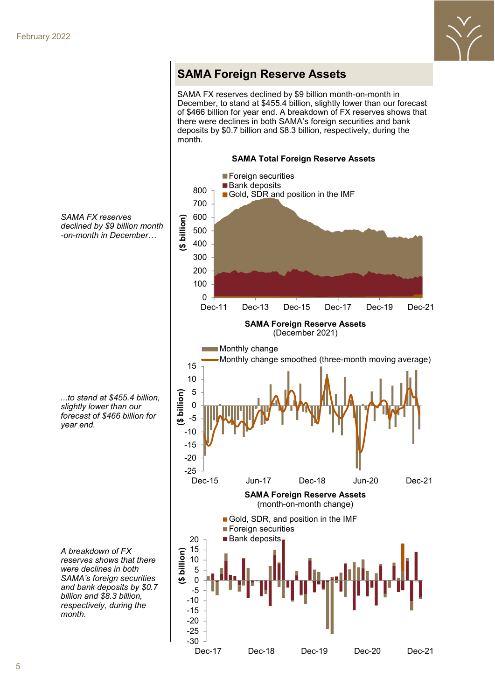

## **SAMA Foreign Reserve Assets**

SAMA FX reserves declined by \$9 billion month-on-month in December, to stand at \$455.4 billion, slightly lower than our forecast of \$466 billion for year end. A breakdown of FX reserves shows that there were declines in both SAMA's foreign securities and bank deposits by \$0.7 billion and \$8.3 billion, respectively, during the month.



Dec-17 Dec-18 Dec-19 Dec-20 Dec-21

*SAMA FX reserves declined by \$9 billion month -on-month in December…*

*...to stand at \$455.4 billion, slightly lower than our forecast of \$466 billion for year end.* 

*A breakdown of FX reserves shows that there were declines in both SAMA's foreign securities and bank deposits by \$0.7 billion and \$8.3 billion, respectively, during the month.*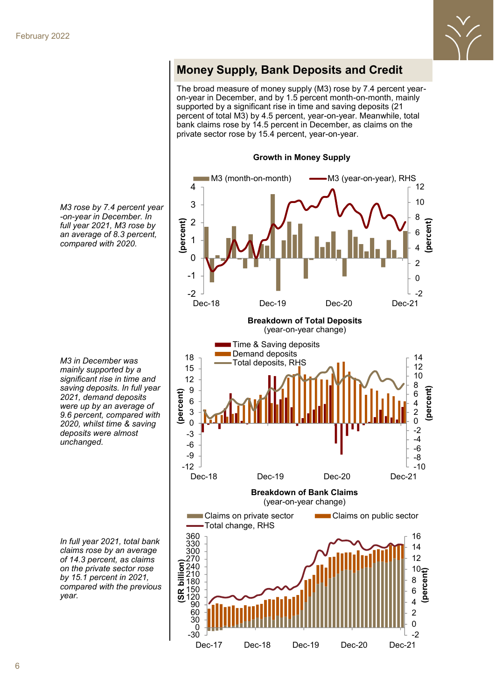

## **Money Supply, Bank Deposits and Credit**

The broad measure of money supply (M3) rose by 7.4 percent yearon-year in December, and by 1.5 percent month-on-month, mainly supported by a significant rise in time and saving deposits (21 percent of total M3) by 4.5 percent, year-on-year. Meanwhile, total bank claims rose by 14.5 percent in December, as claims on the private sector rose by 15.4 percent, year-on-year.

**Growth in Money Supply**



*M3 rose by 7.4 percent year -on-year in December. In full year 2021, M3 rose by an average of 8.3 percent, compared with 2020.* 

*M3 in December was mainly supported by a significant rise in time and saving deposits. In full year 2021, demand deposits were up by an average of 9.6 percent, compared with 2020, whilst time & saving deposits were almost unchanged.* 

*In full year 2021, total bank claims rose by an average of 14.3 percent, as claims on the private sector rose by 15.1 percent in 2021, compared with the previous year.*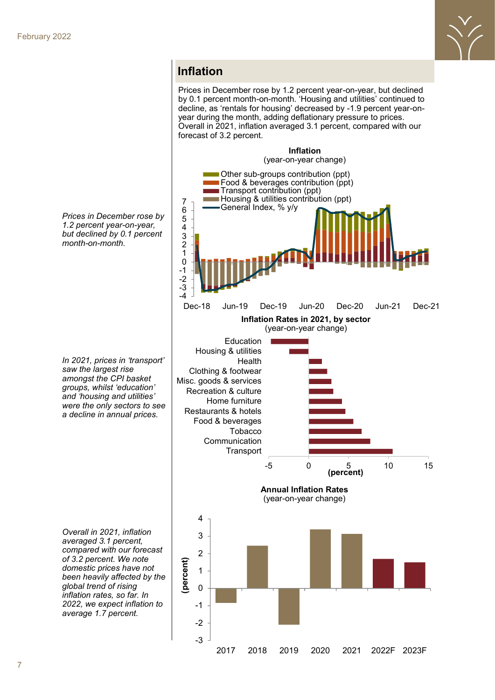

#### **Inflation**

Prices in December rose by 1.2 percent year-on-year, but declined by 0.1 percent month-on-month. 'Housing and utilities' continued to decline, as 'rentals for housing' decreased by -1.9 percent year-onyear during the month, adding deflationary pressure to prices. Overall in 2021, inflation averaged 3.1 percent, compared with our forecast of 3.2 percent.





*In 2021, prices in 'transport' saw the largest rise amongst the CPI basket groups, whilst 'education' and 'housing and utilities' were the only sectors to see a decline in annual prices.*

*Overall in 2021, inflation averaged 3.1 percent, compared with our forecast of 3.2 percent. We note domestic prices have not been heavily affected by the global trend of rising inflation rates, so far. In 2022, we expect inflation to average 1.7 percent.*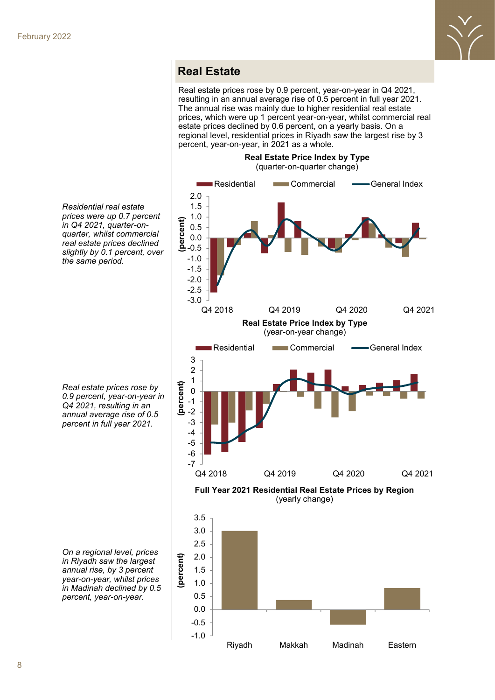

## **Real Estate**

Real estate prices rose by 0.9 percent, year-on-year in Q4 2021, resulting in an annual average rise of 0.5 percent in full year 2021. The annual rise was mainly due to higher residential real estate prices, which were up 1 percent year-on-year, whilst commercial real estate prices declined by 0.6 percent, on a yearly basis. On a regional level, residential prices in Riyadh saw the largest rise by 3 percent, year-on-year, in 2021 as a whole.

**Real Estate Price Index by Type** 



*Residential real estate prices were up 0.7 percent in Q4 2021, quarter-onquarter, whilst commercial real estate prices declined slightly by 0.1 percent, over the same period.* 

*Real estate prices rose by 0.9 percent, year-on-year in Q4 2021, resulting in an annual average rise of 0.5 percent in full year 2021.* 

*On a regional level, prices in Riyadh saw the largest annual rise, by 3 percent year-on-year, whilst prices in Madinah declined by 0.5 percent, year-on-year.*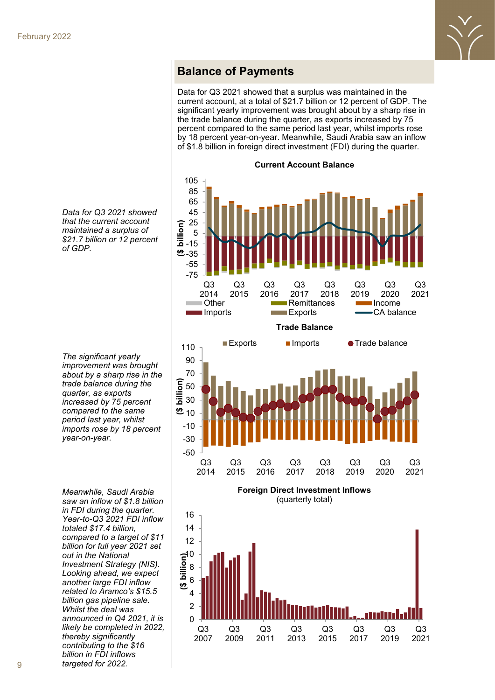

#### **Balance of Payments**

Data for Q3 2021 showed that a surplus was maintained in the current account, at a total of \$21.7 billion or 12 percent of GDP. The significant yearly improvement was brought about by a sharp rise in the trade balance during the quarter, as exports increased by 75 percent compared to the same period last year, whilst imports rose by 18 percent year-on-year. Meanwhile, Saudi Arabia saw an inflow of \$1.8 billion in foreign direct investment (FDI) during the quarter.

**Current Account Balance**





*Data for Q3 2021 showed that the current account maintained a surplus of \$21.7 billion or 12 percent of GDP.* 

*The significant yearly improvement was brought about by a sharp rise in the trade balance during the quarter, as exports increased by 75 percent compared to the same period last year, whilst imports rose by 18 percent year-on-year.* 

*Meanwhile, Saudi Arabia saw an inflow of \$1.8 billion in FDI during the quarter. Year-to-Q3 2021 FDI inflow totaled \$17.4 billion, compared to a target of \$11 billion for full year 2021 set out in the National Investment Strategy (NIS). Looking ahead, we expect another large FDI inflow related to Aramco's \$15.5 billion gas pipeline sale. Whilst the deal was announced in Q4 2021, it is likely be completed in 2022, thereby significantly contributing to the \$16 billion in FDI inflows targeted for 2022.*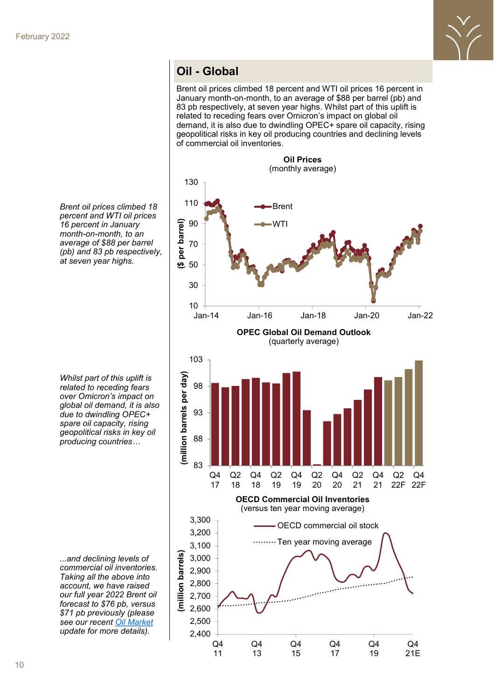

## **Oil - Global**

Brent oil prices climbed 18 percent and WTI oil prices 16 percent in January month-on-month, to an average of \$88 per barrel (pb) and 83 pb respectively, at seven year highs. Whilst part of this uplift is related to receding fears over Omicron's impact on global oil demand, it is also due to dwindling OPEC+ spare oil capacity, rising geopolitical risks in key oil producing countries and declining levels of commercial oil inventories.



*Brent oil prices climbed 18 percent and WTI oil prices 16 percent in January month-on-month, to an average of \$88 per barrel (pb) and 83 pb respectively, at seven year highs.* 

*Whilst part of this uplift is related to receding fears over Omicron's impact on global oil demand, it is also due to dwindling OPEC+ spare oil capacity, rising geopolitical risks in key oil producing countries…*

*...and declining levels of commercial oil inventories. Taking all the above into account, we have raised our full year 2022 Brent oil forecast to \$76 pb, versus \$71 pb previously (please see our recent [Oil Market](http://www.jadwa.com/en/download/oil-market-update-q4-2021-1/quarterly-oil-market-update-q42021-oil-demand-growth-improving-in-2021-1-1-1) update for more details).*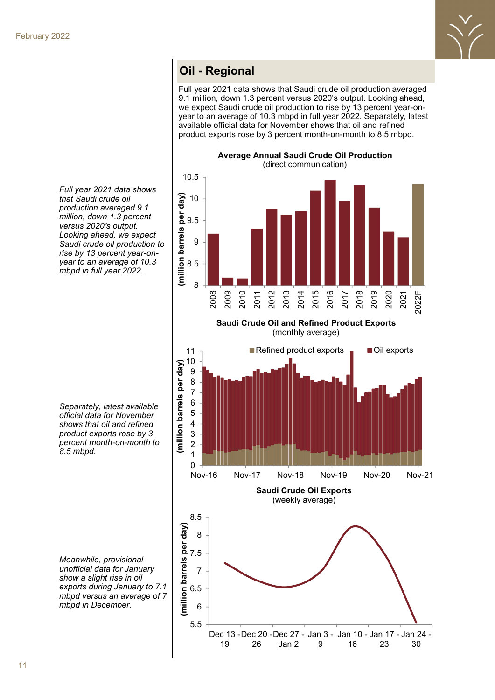

#### **Oil Oil - Regional - Regional**

Full year 2021 data shows that Saudi crude oil production averaged 9.1 million, down 1.3 percent versus 2020's output. Looking ahead, we expect Saudi crude oil production to rise by 13 percent year-onyear to an average of 10.3 mbpd in full year 2022. Separately, latest available official data for November shows that oil and refined product exports rose by 3 percent month-on-month to 8.5 mbpd.



**Saudi Crude Oil and Refined Product Exports** (monthly average)



*Full year 2021 data shows that Saudi crude oil production averaged 9.1 million, down 1.3 percent versus 2020's output. Looking ahead, we expect Saudi crude oil production to rise by 13 percent year-onyear to an average of 10.3 mbpd in full year 2022.* 

*Separately, latest available official data for November shows that oil and refined product exports rose by 3 percent month-on-month to 8.5 mbpd.*

*Meanwhile, provisional unofficial data for January show a slight rise in oil exports during January to 7.1 mbpd versus an average of 7 mbpd in December.*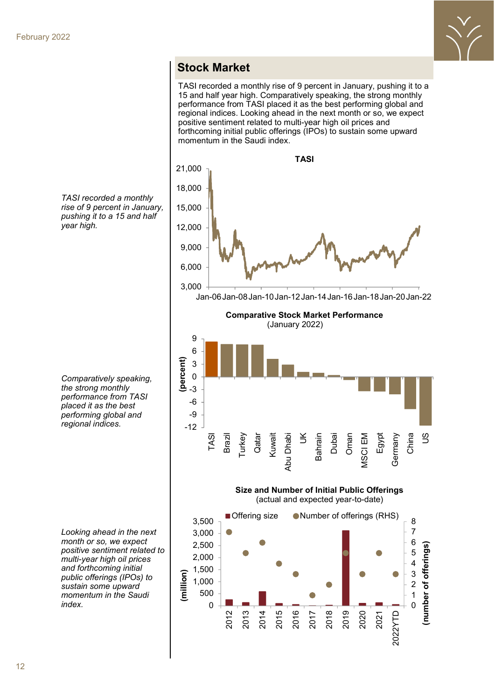

#### **Stock Market**

TASI recorded a monthly rise of 9 percent in January, pushing it to a 15 and half year high. Comparatively speaking, the strong monthly performance from TASI placed it as the best performing global and regional indices. Looking ahead in the next month or so, we expect positive sentiment related to multi-year high oil prices and forthcoming initial public offerings (IPOs) to sustain some upward momentum in the Saudi index.



*TASI recorded a monthly rise of 9 percent in January, pushing it to a 15 and half year high.* 

*Comparatively speaking, the strong monthly performance from TASI placed it as the best performing global and regional indices.* 

*Looking ahead in the next month or so, we expect positive sentiment related to multi-year high oil prices and forthcoming initial public offerings (IPOs) to sustain some upward momentum in the Saudi index.*